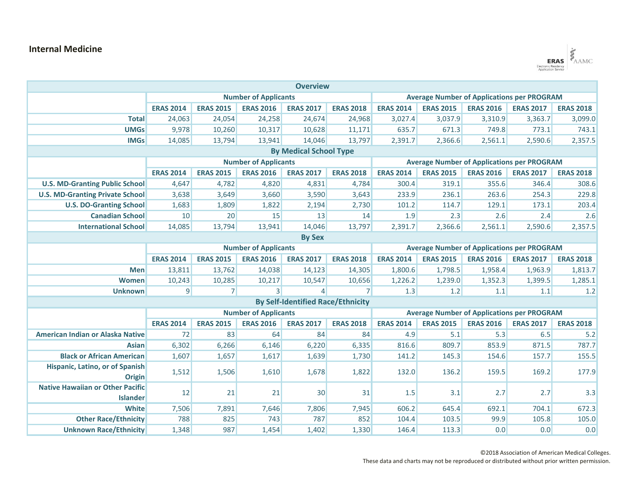## **Internal Medicine**

| <b>Overview</b><br><b>Number of Applicants</b><br><b>Average Number of Applications per PROGRAM</b><br><b>ERAS 2014</b><br><b>ERAS 2015</b><br><b>ERAS 2016</b><br><b>ERAS 2017</b><br><b>ERAS 2018</b><br><b>ERAS 2014</b><br><b>ERAS 2015</b><br><b>ERAS 2016</b><br><b>Total</b><br>24,063<br>24,054<br>24,258<br>24,674<br>24,968<br>3,027.4<br>3,037.9<br><b>UMGs</b><br>9,978<br>10,317<br>635.7<br>671.3<br>10,260<br>10,628<br>11,171<br><b>IMGs</b><br>14,085<br>13,794<br>14,046<br>13,797<br>13,941<br>2,391.7<br>2,366.6<br><b>By Medical School Type</b><br><b>Number of Applicants</b><br><b>Average Number of Applications per PROGRAM</b><br><b>ERAS 2014</b><br><b>ERAS 2015</b><br><b>ERAS 2016</b><br><b>ERAS 2017</b><br><b>ERAS 2018</b><br><b>ERAS 2015</b><br><b>ERAS 2016</b><br><b>ERAS 2014</b><br>4,647<br>4,782<br>4,820<br>4,831<br>4,784<br>300.4<br>319.1<br><b>U.S. MD-Granting Public School</b><br><b>U.S. MD-Granting Private School</b><br>233.9<br>3,638<br>3,649<br>3,660<br>3,590<br>3,643<br>236.1<br><b>U.S. DO-Granting School</b><br>1,683<br>1,809<br>1,822<br>2,194<br>2,730<br>101.2<br>114.7 | 3,310.9<br>749.8<br>2,561.1                       | <b>ERAS 2017</b><br>3,363.7<br>773.1<br>2,590.6 | <b>ERAS 2018</b><br>3,099.0<br>743.1<br>2,357.5 |  |  |
|---------------------------------------------------------------------------------------------------------------------------------------------------------------------------------------------------------------------------------------------------------------------------------------------------------------------------------------------------------------------------------------------------------------------------------------------------------------------------------------------------------------------------------------------------------------------------------------------------------------------------------------------------------------------------------------------------------------------------------------------------------------------------------------------------------------------------------------------------------------------------------------------------------------------------------------------------------------------------------------------------------------------------------------------------------------------------------------------------------------------------------------------|---------------------------------------------------|-------------------------------------------------|-------------------------------------------------|--|--|
|                                                                                                                                                                                                                                                                                                                                                                                                                                                                                                                                                                                                                                                                                                                                                                                                                                                                                                                                                                                                                                                                                                                                             |                                                   |                                                 |                                                 |  |  |
|                                                                                                                                                                                                                                                                                                                                                                                                                                                                                                                                                                                                                                                                                                                                                                                                                                                                                                                                                                                                                                                                                                                                             |                                                   |                                                 |                                                 |  |  |
|                                                                                                                                                                                                                                                                                                                                                                                                                                                                                                                                                                                                                                                                                                                                                                                                                                                                                                                                                                                                                                                                                                                                             |                                                   |                                                 |                                                 |  |  |
|                                                                                                                                                                                                                                                                                                                                                                                                                                                                                                                                                                                                                                                                                                                                                                                                                                                                                                                                                                                                                                                                                                                                             |                                                   |                                                 |                                                 |  |  |
|                                                                                                                                                                                                                                                                                                                                                                                                                                                                                                                                                                                                                                                                                                                                                                                                                                                                                                                                                                                                                                                                                                                                             |                                                   |                                                 |                                                 |  |  |
|                                                                                                                                                                                                                                                                                                                                                                                                                                                                                                                                                                                                                                                                                                                                                                                                                                                                                                                                                                                                                                                                                                                                             |                                                   |                                                 |                                                 |  |  |
|                                                                                                                                                                                                                                                                                                                                                                                                                                                                                                                                                                                                                                                                                                                                                                                                                                                                                                                                                                                                                                                                                                                                             |                                                   |                                                 |                                                 |  |  |
|                                                                                                                                                                                                                                                                                                                                                                                                                                                                                                                                                                                                                                                                                                                                                                                                                                                                                                                                                                                                                                                                                                                                             |                                                   |                                                 |                                                 |  |  |
|                                                                                                                                                                                                                                                                                                                                                                                                                                                                                                                                                                                                                                                                                                                                                                                                                                                                                                                                                                                                                                                                                                                                             |                                                   | <b>ERAS 2017</b>                                | <b>ERAS 2018</b>                                |  |  |
|                                                                                                                                                                                                                                                                                                                                                                                                                                                                                                                                                                                                                                                                                                                                                                                                                                                                                                                                                                                                                                                                                                                                             | 355.6                                             | 346.4                                           | 308.6                                           |  |  |
|                                                                                                                                                                                                                                                                                                                                                                                                                                                                                                                                                                                                                                                                                                                                                                                                                                                                                                                                                                                                                                                                                                                                             | 263.6                                             | 254.3                                           | 229.8                                           |  |  |
|                                                                                                                                                                                                                                                                                                                                                                                                                                                                                                                                                                                                                                                                                                                                                                                                                                                                                                                                                                                                                                                                                                                                             | 129.1                                             | 173.1                                           | 203.4                                           |  |  |
| <b>Canadian School</b><br>10<br>20<br>15<br>13<br>1.9<br>2.3<br>14                                                                                                                                                                                                                                                                                                                                                                                                                                                                                                                                                                                                                                                                                                                                                                                                                                                                                                                                                                                                                                                                          | 2.6                                               | 2.4                                             | 2.6                                             |  |  |
| <b>International School</b><br>14,085<br>13,794<br>13,941<br>14,046<br>13,797<br>2,391.7<br>2,366.6                                                                                                                                                                                                                                                                                                                                                                                                                                                                                                                                                                                                                                                                                                                                                                                                                                                                                                                                                                                                                                         | 2,561.1                                           | 2,590.6                                         | 2,357.5                                         |  |  |
| <b>By Sex</b>                                                                                                                                                                                                                                                                                                                                                                                                                                                                                                                                                                                                                                                                                                                                                                                                                                                                                                                                                                                                                                                                                                                               |                                                   |                                                 |                                                 |  |  |
| <b>Number of Applicants</b>                                                                                                                                                                                                                                                                                                                                                                                                                                                                                                                                                                                                                                                                                                                                                                                                                                                                                                                                                                                                                                                                                                                 | <b>Average Number of Applications per PROGRAM</b> |                                                 |                                                 |  |  |
| <b>ERAS 2014</b><br><b>ERAS 2015</b><br><b>ERAS 2016</b><br><b>ERAS 2017</b><br><b>ERAS 2018</b><br><b>ERAS 2015</b><br><b>ERAS 2016</b><br><b>ERAS 2014</b>                                                                                                                                                                                                                                                                                                                                                                                                                                                                                                                                                                                                                                                                                                                                                                                                                                                                                                                                                                                |                                                   | <b>ERAS 2017</b>                                | <b>ERAS 2018</b>                                |  |  |
| <b>Men</b><br>13,811<br>13,762<br>14,038<br>14,123<br>14,305<br>1,800.6<br>1,798.5                                                                                                                                                                                                                                                                                                                                                                                                                                                                                                                                                                                                                                                                                                                                                                                                                                                                                                                                                                                                                                                          | 1,958.4                                           | 1,963.9                                         | 1,813.7                                         |  |  |
| 1,239.0<br><b>Women</b><br>10,243<br>10,285<br>10,217<br>10,547<br>10,656<br>1,226.2                                                                                                                                                                                                                                                                                                                                                                                                                                                                                                                                                                                                                                                                                                                                                                                                                                                                                                                                                                                                                                                        | 1,352.3                                           | 1,399.5                                         | 1,285.1                                         |  |  |
| 9<br>7 <sup>1</sup><br>3<br>7<br>$\overline{\mathcal{L}}$<br>1.3<br>1.2<br><b>Unknown</b>                                                                                                                                                                                                                                                                                                                                                                                                                                                                                                                                                                                                                                                                                                                                                                                                                                                                                                                                                                                                                                                   | 1.1                                               | $1.1\,$                                         | 1.2                                             |  |  |
| <b>By Self-Identified Race/Ethnicity</b>                                                                                                                                                                                                                                                                                                                                                                                                                                                                                                                                                                                                                                                                                                                                                                                                                                                                                                                                                                                                                                                                                                    |                                                   |                                                 |                                                 |  |  |
| <b>Number of Applicants</b>                                                                                                                                                                                                                                                                                                                                                                                                                                                                                                                                                                                                                                                                                                                                                                                                                                                                                                                                                                                                                                                                                                                 | <b>Average Number of Applications per PROGRAM</b> |                                                 |                                                 |  |  |
| <b>ERAS 2014</b><br><b>ERAS 2015</b><br><b>ERAS 2016</b><br><b>ERAS 2017</b><br><b>ERAS 2018</b><br><b>ERAS 2014</b><br><b>ERAS 2015</b><br><b>ERAS 2016</b>                                                                                                                                                                                                                                                                                                                                                                                                                                                                                                                                                                                                                                                                                                                                                                                                                                                                                                                                                                                |                                                   | <b>ERAS 2017</b>                                | <b>ERAS 2018</b>                                |  |  |
| <b>American Indian or Alaska Native</b><br>83<br>72<br>64<br>84<br>84<br>4.9<br>5.1                                                                                                                                                                                                                                                                                                                                                                                                                                                                                                                                                                                                                                                                                                                                                                                                                                                                                                                                                                                                                                                         | 5.3                                               | 6.5                                             | 5.2                                             |  |  |
| 6,302<br>6,266<br>6,146<br>6,220<br>6,335<br>816.6<br>809.7<br><b>Asian</b>                                                                                                                                                                                                                                                                                                                                                                                                                                                                                                                                                                                                                                                                                                                                                                                                                                                                                                                                                                                                                                                                 | 853.9                                             | 871.5                                           | 787.7                                           |  |  |
| <b>Black or African American</b><br>1,607<br>1,657<br>1,617<br>1,639<br>1,730<br>141.2<br>145.3                                                                                                                                                                                                                                                                                                                                                                                                                                                                                                                                                                                                                                                                                                                                                                                                                                                                                                                                                                                                                                             | 154.6                                             | 157.7                                           | 155.5                                           |  |  |
| Hispanic, Latino, or of Spanish<br>1,512<br>1,506<br>1,610<br>1,678<br>1,822<br>132.0<br>136.2                                                                                                                                                                                                                                                                                                                                                                                                                                                                                                                                                                                                                                                                                                                                                                                                                                                                                                                                                                                                                                              | 159.5                                             | 169.2                                           | 177.9                                           |  |  |
| <b>Origin</b>                                                                                                                                                                                                                                                                                                                                                                                                                                                                                                                                                                                                                                                                                                                                                                                                                                                                                                                                                                                                                                                                                                                               |                                                   |                                                 |                                                 |  |  |
| <b>Native Hawaiian or Other Pacific</b><br>12<br>21<br>21<br>30 <sup>°</sup><br>3.1<br>31<br>1.5<br><b>Islander</b>                                                                                                                                                                                                                                                                                                                                                                                                                                                                                                                                                                                                                                                                                                                                                                                                                                                                                                                                                                                                                         | 2.7                                               | 2.7                                             | 3.3                                             |  |  |
| <b>White</b><br>7,506<br>7,891<br>7,646<br>7,806<br>606.2<br>645.4<br>7,945                                                                                                                                                                                                                                                                                                                                                                                                                                                                                                                                                                                                                                                                                                                                                                                                                                                                                                                                                                                                                                                                 | 692.1                                             | 704.1                                           | 672.3                                           |  |  |
|                                                                                                                                                                                                                                                                                                                                                                                                                                                                                                                                                                                                                                                                                                                                                                                                                                                                                                                                                                                                                                                                                                                                             | 99.9                                              | 105.8                                           | 105.0                                           |  |  |

**Unknown Race/Ethnicity** 1,348 987 1,454 1,402 1,330 146.4 113.3 0.0 0.0 0.0 0.0

©2018 Association of American Medical Colleges.

ERAS BAAMC

These data and charts may not be reproduced or distributed without prior written permission.